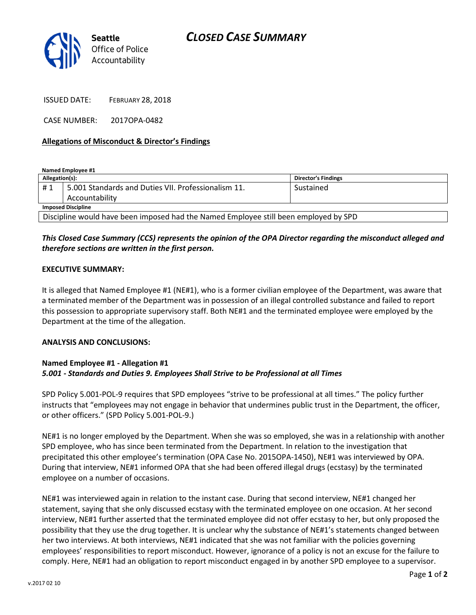

ISSUED DATE: FEBRUARY 28, 2018

CASE NUMBER: 2017OPA-0482

## Allegations of Misconduct & Director's Findings

Named Employee #1

| Allegation(s):                                                                       |                                                     | <b>Director's Findings</b> |
|--------------------------------------------------------------------------------------|-----------------------------------------------------|----------------------------|
| #1                                                                                   | 5.001 Standards and Duties VII. Professionalism 11. | Sustained                  |
|                                                                                      | Accountability                                      |                            |
| <b>Imposed Discipline</b>                                                            |                                                     |                            |
| Discipline would have been imposed had the Named Employee still been employed by SPD |                                                     |                            |

# This Closed Case Summary (CCS) represents the opinion of the OPA Director regarding the misconduct alleged and therefore sections are written in the first person.

### EXECUTIVE SUMMARY:

It is alleged that Named Employee #1 (NE#1), who is a former civilian employee of the Department, was aware that a terminated member of the Department was in possession of an illegal controlled substance and failed to report this possession to appropriate supervisory staff. Both NE#1 and the terminated employee were employed by the Department at the time of the allegation.

#### ANALYSIS AND CONCLUSIONS:

## Named Employee #1 - Allegation #1 5.001 - Standards and Duties 9. Employees Shall Strive to be Professional at all Times

SPD Policy 5.001-POL-9 requires that SPD employees "strive to be professional at all times." The policy further instructs that "employees may not engage in behavior that undermines public trust in the Department, the officer, or other officers." (SPD Policy 5.001-POL-9.)

NE#1 is no longer employed by the Department. When she was so employed, she was in a relationship with another SPD employee, who has since been terminated from the Department. In relation to the investigation that precipitated this other employee's termination (OPA Case No. 2015OPA-1450), NE#1 was interviewed by OPA. During that interview, NE#1 informed OPA that she had been offered illegal drugs (ecstasy) by the terminated employee on a number of occasions.

NE#1 was interviewed again in relation to the instant case. During that second interview, NE#1 changed her statement, saying that she only discussed ecstasy with the terminated employee on one occasion. At her second interview, NE#1 further asserted that the terminated employee did not offer ecstasy to her, but only proposed the possibility that they use the drug together. It is unclear why the substance of NE#1's statements changed between her two interviews. At both interviews, NE#1 indicated that she was not familiar with the policies governing employees' responsibilities to report misconduct. However, ignorance of a policy is not an excuse for the failure to comply. Here, NE#1 had an obligation to report misconduct engaged in by another SPD employee to a supervisor.